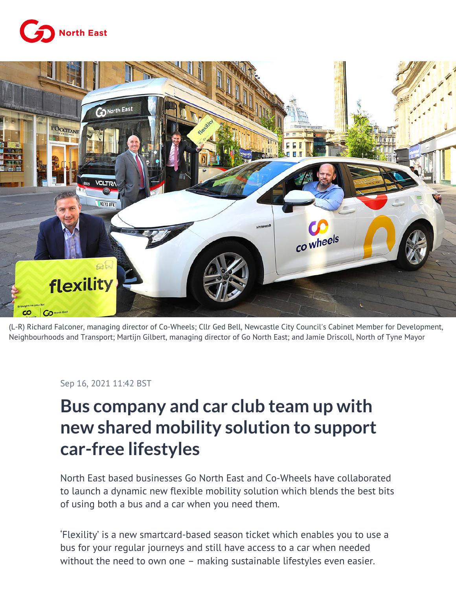



(L-R) Richard Falconer, managing director of Co-Wheels; Cllr Ged Bell, Newcastle City Council's Cabinet Member for Development, Neighbourhoods and Transport; Martijn Gilbert, managing director of Go North East; and Jamie Driscoll, North of Tyne Mayor

## Sep 16, 2021 11:42 BST

## **Bus company and car club team up with new shared mobility solution to support car-free lifestyles**

North East based businesses Go North East and Co-Wheels have collaborated to launch a dynamic new flexible mobility solution which blends the best bits of using both a bus and a car when you need them.

'Flexility' is a new smartcard-based season ticket which enables you to use a bus for your regular journeys and still have access to a car when needed without the need to own one – making sustainable lifestyles even easier.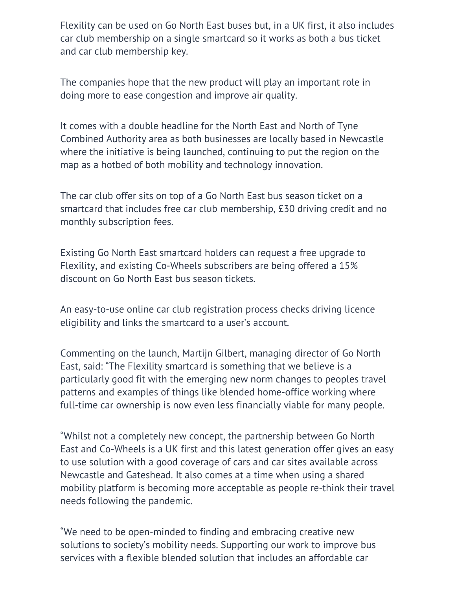Flexility can be used on Go North East buses but, in a UK first, it also includes car club membership on a single smartcard so it works as both a bus ticket and car club membership key.

The companies hope that the new product will play an important role in doing more to ease congestion and improve air quality.

It comes with a double headline for the North East and North of Tyne Combined Authority area as both businesses are locally based in Newcastle where the initiative is being launched, continuing to put the region on the map as a hotbed of both mobility and technology innovation.

The car club offer sits on top of a Go North East bus season ticket on a smartcard that includes free car club membership, £30 driving credit and no monthly subscription fees.

Existing Go North East smartcard holders can request a free upgrade to Flexility, and existing Co-Wheels subscribers are being offered a 15% discount on Go North East bus season tickets.

An easy-to-use online car club registration process checks driving licence eligibility and links the smartcard to a user's account.

Commenting on the launch, Martijn Gilbert, managing director of Go North East, said: "The Flexility smartcard is something that we believe is a particularly good fit with the emerging new norm changes to peoples travel patterns and examples of things like blended home-office working where full-time car ownership is now even less financially viable for many people.

"Whilst not a completely new concept, the partnership between Go North East and Co-Wheels is a UK first and this latest generation offer gives an easy to use solution with a good coverage of cars and car sites available across Newcastle and Gateshead. It also comes at a time when using a shared mobility platform is becoming more acceptable as people re-think their travel needs following the pandemic.

"We need to be open-minded to finding and embracing creative new solutions to society's mobility needs. Supporting our work to improve bus services with a flexible blended solution that includes an affordable car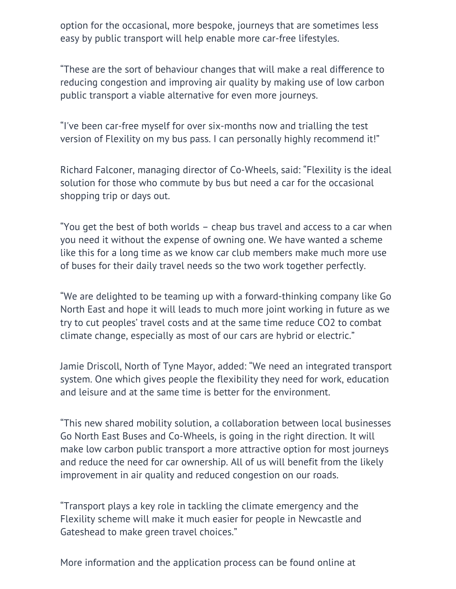option for the occasional, more bespoke, journeys that are sometimes less easy by public transport will help enable more car-free lifestyles.

"These are the sort of behaviour changes that will make a real difference to reducing congestion and improving air quality by making use of low carbon public transport a viable alternative for even more journeys.

"I've been car-free myself for over six-months now and trialling the test version of Flexility on my bus pass. I can personally highly recommend it!"

Richard Falconer, managing director of Co-Wheels, said: "Flexility is the ideal solution for those who commute by bus but need a car for the occasional shopping trip or days out.

"You get the best of both worlds – cheap bus travel and access to a car when you need it without the expense of owning one. We have wanted a scheme like this for a long time as we know car club members make much more use of buses for their daily travel needs so the two work together perfectly.

"We are delighted to be teaming up with a forward-thinking company like Go North East and hope it will leads to much more joint working in future as we try to cut peoples' travel costs and at the same time reduce CO2 to combat climate change, especially as most of our cars are hybrid or electric."

Jamie Driscoll, North of Tyne Mayor, added: "We need an integrated transport system. One which gives people the flexibility they need for work, education and leisure and at the same time is better for the environment.

"This new shared mobility solution, a collaboration between local businesses Go North East Buses and Co-Wheels, is going in the right direction. It will make low carbon public transport a more attractive option for most journeys and reduce the need for car ownership. All of us will benefit from the likely improvement in air quality and reduced congestion on our roads.

"Transport plays a key role in tackling the climate emergency and the Flexility scheme will make it much easier for people in Newcastle and Gateshead to make green travel choices."

More information and the application process can be found online at